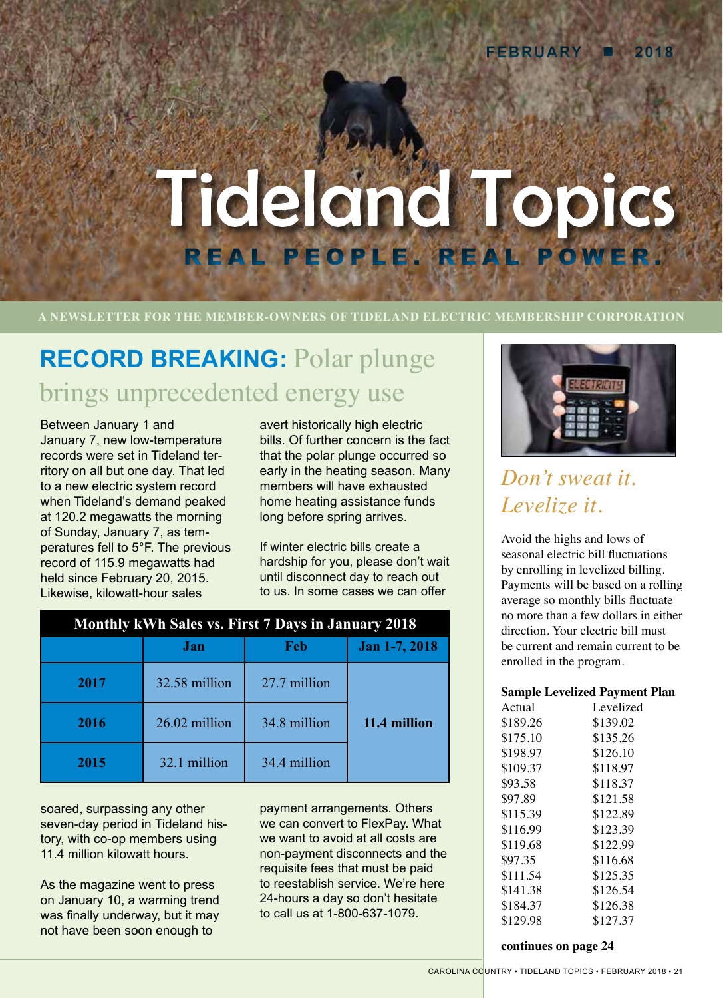# Tideland Topics REAL PEOPLE. REAL

**A NEWSLETTER FOR THE MEMBER-OWNERS OF TIDELAND ELECTRIC MEMBERSHIP CORPORATION**

# **RECORD BREAKING:** Polar plunge brings unprecedented energy use

Between January 1 and January 7, new low-temperature records were set in Tideland territory on all but one day. That led to a new electric system record when Tideland's demand peaked at 120.2 megawatts the morning of Sunday, January 7, as temperatures fell to 5°F. The previous record of 115.9 megawatts had held since February 20, 2015. Likewise, kilowatt-hour sales

avert historically high electric bills. Of further concern is the fact that the polar plunge occurred so early in the heating season. Many members will have exhausted home heating assistance funds long before spring arrives.

If winter electric bills create a hardship for you, please don't wait until disconnect day to reach out to us. In some cases we can offer

| Monthly kWh Sales vs. First 7 Days in January 2018 |               |              |               |
|----------------------------------------------------|---------------|--------------|---------------|
|                                                    | Jan           | Feb          | Jan 1-7, 2018 |
| 2017                                               | 32.58 million | 27.7 million |               |
| 2016                                               | 26.02 million | 34.8 million | 11.4 million  |
| 2015                                               | 32.1 million  | 34.4 million |               |

soared, surpassing any other seven-day period in Tideland history, with co-op members using 11.4 million kilowatt hours.

As the magazine went to press on January 10, a warming trend was finally underway, but it may not have been soon enough to

payment arrangements. Others we can convert to FlexPay. What we want to avoid at all costs are non-payment disconnects and the requisite fees that must be paid to reestablish service. We're here 24-hours a day so don't hesitate to call us at 1-800-637-1079.



# *Don't sweat it. Levelize it.*

Avoid the highs and lows of seasonal electric bill fluctuations by enrolling in levelized billing. Payments will be based on a rolling average so monthly bills fluctuate no more than a few dollars in either direction. Your electric bill must be current and remain current to be enrolled in the program.

### **Sample Levelized Payment Plan**

| Actual   | Levelized |
|----------|-----------|
| \$189.26 | \$139.02  |
| \$175.10 | \$135.26  |
| \$198.97 | \$126.10  |
| \$109.37 | \$118.97  |
| \$93.58  | \$118.37  |
| \$97.89  | \$121.58  |
| \$115.39 | \$122.89  |
| \$116.99 | \$123.39  |
| \$119.68 | \$122.99  |
| \$97.35  | \$116.68  |
| \$111.54 | \$125.35  |
| \$141.38 | \$126.54  |
| \$184.37 | \$126.38  |
| \$129.98 | \$127.37  |
|          |           |

**continues on page 24**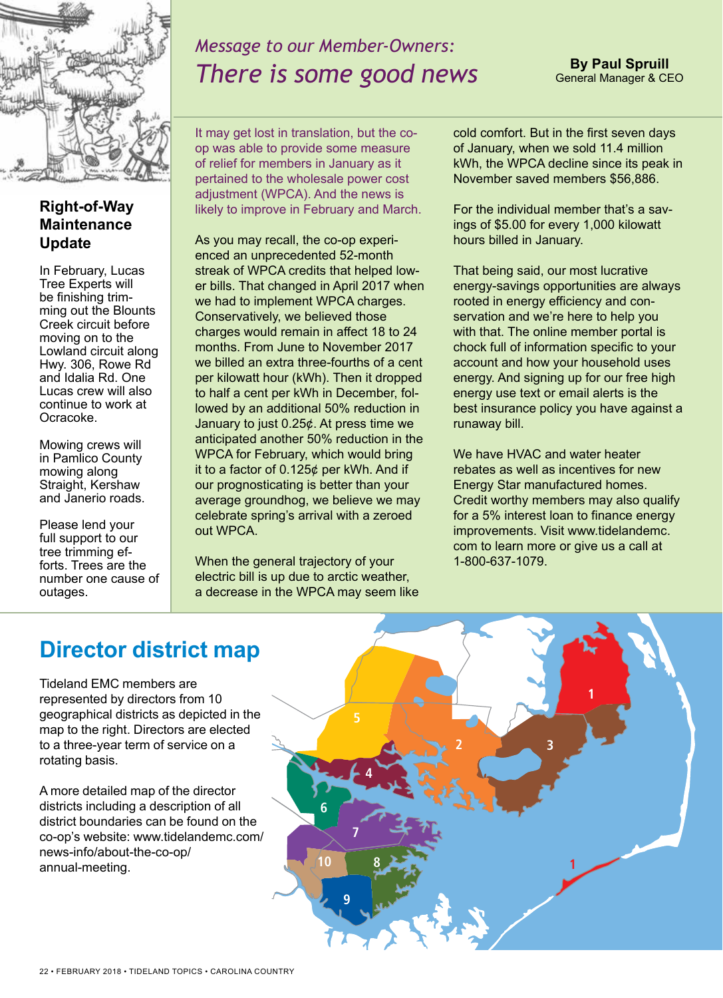

**Right-of-Way Maintenance** 

In February, Lucas Tree Experts will be finishing trimming out the Blounts Creek circuit before moving on to the Lowland circuit along Hwy. 306, Rowe Rd and Idalia Rd. One Lucas crew will also continue to work at

**Update**

Ocracoke.

Mowing crews will in Pamlico County mowing along Straight, Kershaw and Janerio roads.

Please lend your full support to our tree trimming efforts. Trees are the number one cause of

outages.

# *Message to our Member-Owners: There is some good news*

It may get lost in translation, but the coop was able to provide some measure of relief for members in January as it pertained to the wholesale power cost adjustment (WPCA). And the news is likely to improve in February and March.

As you may recall, the co-op experienced an unprecedented 52-month streak of WPCA credits that helped lower bills. That changed in April 2017 when we had to implement WPCA charges. Conservatively, we believed those charges would remain in affect 18 to 24 months. From June to November 2017 we billed an extra three-fourths of a cent per kilowatt hour (kWh). Then it dropped to half a cent per kWh in December, followed by an additional 50% reduction in January to just 0.25¢. At press time we anticipated another 50% reduction in the WPCA for February, which would bring it to a factor of 0.125¢ per kWh. And if our prognosticating is better than your average groundhog, we believe we may celebrate spring's arrival with a zeroed out WPCA.

When the general trajectory of your electric bill is up due to arctic weather, a decrease in the WPCA may seem like cold comfort. But in the first seven days of January, when we sold 11.4 million kWh, the WPCA decline since its peak in November saved members \$56,886.

**By Paul Spruill** General Manager & CEO

For the individual member that's a savings of \$5.00 for every 1,000 kilowatt hours billed in January.

That being said, our most lucrative energy-savings opportunities are always rooted in energy efficiency and conservation and we're here to help you with that. The online member portal is chock full of information specific to your account and how your household uses energy. And signing up for our free high energy use text or email alerts is the best insurance policy you have against a runaway bill.

We have HVAC and water heater rebates as well as incentives for new Energy Star manufactured homes. Credit worthy members may also qualify for a 5% interest loan to finance energy improvements. Visit www.tidelandemc. com to learn more or give us a call at 1-800-637-1079.

## **Director district map**

Tideland EMC members are represented by directors from 10 geographical districts as depicted in the map to the right. Directors are elected to a three-year term of service on a rotating basis.

A more detailed map of the director districts including a description of all district boundaries can be found on the co-op's website: www.tidelandemc.com/ news-info/about-the-co-op/ annual-meeting.

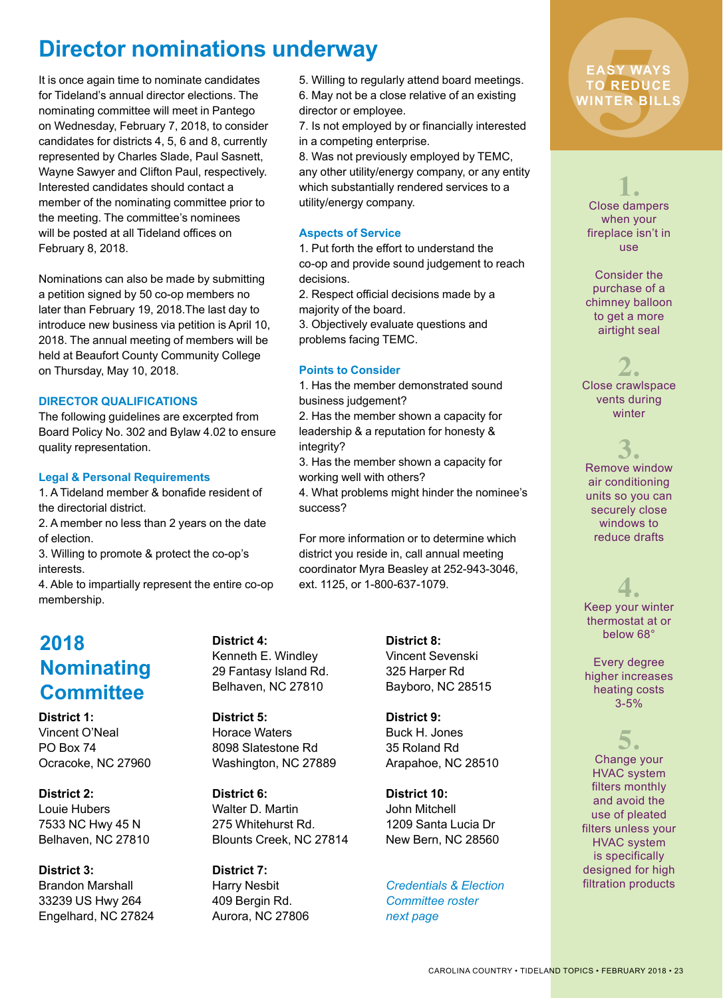## **Director nominations underway**

It is once again time to nominate candidates for Tideland's annual director elections. The nominating committee will meet in Pantego on Wednesday, February 7, 2018, to consider candidates for districts 4, 5, 6 and 8, currently represented by Charles Slade, Paul Sasnett, Wayne Sawyer and Clifton Paul, respectively. Interested candidates should contact a member of the nominating committee prior to the meeting. The committee's nominees will be posted at all Tideland offices on February 8, 2018.

Nominations can also be made by submitting a petition signed by 50 co-op members no later than February 19, 2018.The last day to introduce new business via petition is April 10, 2018. The annual meeting of members will be held at Beaufort County Community College on Thursday, May 10, 2018.

### **DIRECTOR QUALIFICATIONS**

The following guidelines are excerpted from Board Policy No. 302 and Bylaw 4.02 to ensure quality representation.

### **Legal & Personal Requirements**

1. A Tideland member & bonafide resident of the directorial district.

2. A member no less than 2 years on the date of election.

3. Willing to promote & protect the co-op's interests.

4. Able to impartially represent the entire co-op membership.

### **2018 Nominating Committee**

**District 1:**  Vincent O'Neal PO Box 74 Ocracoke, NC 27960

**District 2:** Louie Hubers 7533 NC Hwy 45 N Belhaven, NC 27810

**District 3:** Brandon Marshall 33239 US Hwy 264 Engelhard, NC 27824 **District 4:** Kenneth E. Windley 29 Fantasy Island Rd. Belhaven, NC 27810

**District 5:** Horace Waters 8098 Slatestone Rd Washington, NC 27889

**District 6:** Walter D. Martin 275 Whitehurst Rd. Blounts Creek, NC 27814

**District 7:** Harry Nesbit 409 Bergin Rd. Aurora, NC 27806

5. Willing to regularly attend board meetings. 6. May not be a close relative of an existing director or employee.

7. Is not employed by or financially interested in a competing enterprise.

8. Was not previously employed by TEMC, any other utility/energy company, or any entity which substantially rendered services to a utility/energy company.

### **Aspects of Service**

1. Put forth the effort to understand the co-op and provide sound judgement to reach decisions.

2. Respect official decisions made by a majority of the board.

3. Objectively evaluate questions and problems facing TEMC.

### **Points to Consider**

1. Has the member demonstrated sound business judgement?

2. Has the member shown a capacity for leadership & a reputation for honesty & integrity?

3. Has the member shown a capacity for working well with others?

4. What problems might hinder the nominee's success?

For more information or to determine which district you reside in, call annual meeting coordinator Myra Beasley at 252-943-3046, ext. 1125, or 1-800-637-1079.

> **District 8:** Vincent Sevenski 325 Harper Rd Bayboro, NC 28515

**District 9:** Buck H. Jones 35 Roland Rd Arapahoe, NC 28510

**District 10:** John Mitchell 1209 Santa Lucia Dr New Bern, NC 28560

*Credentials & Election Committee roster next page* 

# ASY WAY<br>O REDUC<br>NTER BIL **EASY WAYS TO REDUCE WINTER BILLS**

**1.** Close dampers when your fireplace isn't in use

Consider the purchase of a chimney balloon to get a more airtight seal

**2.** Close crawlspace vents during winter

**3.** Remove window air conditioning units so you can securely close windows to reduce drafts

**4.** Keep your winter thermostat at or below 68°

Every degree higher increases heating costs  $3 - 5%$ 

**5.** Change your HVAC system filters monthly and avoid the use of pleated filters unless your HVAC system is specifically designed for high filtration products